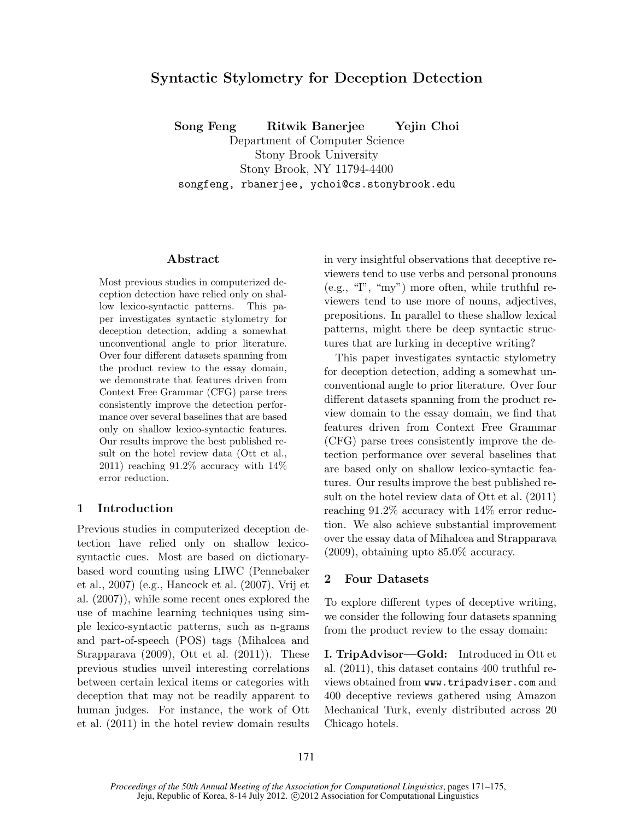# Syntactic Stylometry for Deception Detection

Song Feng Ritwik Banerjee Yejin Choi

Department of Computer Science Stony Brook University

Stony Brook, NY 11794-4400

songfeng, rbanerjee, ychoi@cs.stonybrook.edu

#### Abstract

Most previous studies in computerized deception detection have relied only on shallow lexico-syntactic patterns. This paper investigates syntactic stylometry for deception detection, adding a somewhat unconventional angle to prior literature. Over four different datasets spanning from the product review to the essay domain, we demonstrate that features driven from Context Free Grammar (CFG) parse trees consistently improve the detection performance over several baselines that are based only on shallow lexico-syntactic features. Our results improve the best published result on the hotel review data (Ott et al., 2011) reaching  $91.2\%$  accuracy with  $14\%$ error reduction.

#### 1 Introduction

Previous studies in computerized deception detection have relied only on shallow lexicosyntactic cues. Most are based on dictionarybased word counting using LIWC (Pennebaker et al., 2007) (e.g., Hancock et al. (2007), Vrij et al. (2007)), while some recent ones explored the use of machine learning techniques using simple lexico-syntactic patterns, such as n-grams and part-of-speech (POS) tags (Mihalcea and Strapparava (2009), Ott et al. (2011)). These previous studies unveil interesting correlations between certain lexical items or categories with deception that may not be readily apparent to human judges. For instance, the work of Ott et al. (2011) in the hotel review domain results in very insightful observations that deceptive reviewers tend to use verbs and personal pronouns (e.g., "I", "my") more often, while truthful reviewers tend to use more of nouns, adjectives, prepositions. In parallel to these shallow lexical patterns, might there be deep syntactic structures that are lurking in deceptive writing?

This paper investigates syntactic stylometry for deception detection, adding a somewhat unconventional angle to prior literature. Over four different datasets spanning from the product review domain to the essay domain, we find that features driven from Context Free Grammar (CFG) parse trees consistently improve the detection performance over several baselines that are based only on shallow lexico-syntactic features. Our results improve the best published result on the hotel review data of Ott et al. (2011) reaching 91.2% accuracy with 14% error reduction. We also achieve substantial improvement over the essay data of Mihalcea and Strapparava (2009), obtaining upto 85.0% accuracy.

# 2 Four Datasets

To explore different types of deceptive writing, we consider the following four datasets spanning from the product review to the essay domain:

I. TripAdvisor—Gold: Introduced in Ott et al. (2011), this dataset contains 400 truthful reviews obtained from www.tripadviser.com and 400 deceptive reviews gathered using Amazon Mechanical Turk, evenly distributed across 20 Chicago hotels.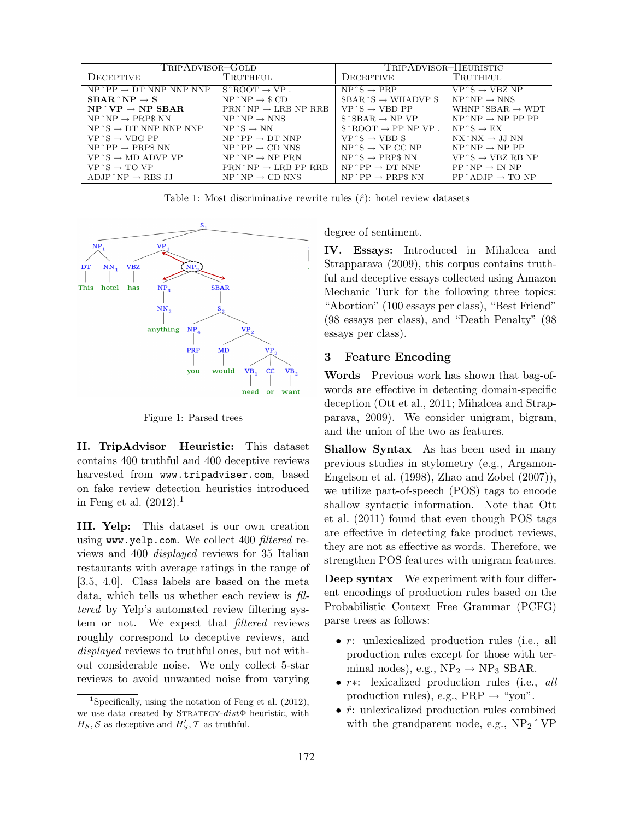| TRIPADVISOR-GOLD                           |                                                       | TRIPADVISOR-HEURISTIC                                 |                                                 |  |
|--------------------------------------------|-------------------------------------------------------|-------------------------------------------------------|-------------------------------------------------|--|
| DECEPTIVE                                  | TRUTHFUL                                              | DECEPTIVE                                             | TRUTHFUL                                        |  |
| $NP^{\wedge}PP \rightarrow DT$ NNP NNP NNP | $S \hat{B} \cap \overline{O} \cap T \rightarrow VP$ . | $NP^s \rightarrow PRP$                                | $VP^s \rightarrow VBZ NP$                       |  |
| $SBAR^{\wedge}NP \rightarrow S$            | $NP^{\wedge}NP \rightarrow \$CD$                      | $SBAR \hat{\otimes} \rightarrow WHADVP \hat{\otimes}$ | $NP^{\wedge}NP \rightarrow NNS$                 |  |
| $NP^{\wedge} VP \rightarrow NP SBAR$       | $PRN^{\wedge}NP \rightarrow LRBNP RRB$                | $VP \hat{S} \rightarrow VBD PP$                       | WHNP $\hat{\mathcal{B}}$ SBAR $\rightarrow$ WDT |  |
| $NP^{\wedge}NP \rightarrow PRPSNN$         | $NP^{\wedge}NP \rightarrow NNS$                       | $S^{\wedge}SBAR \rightarrow NP VP$                    | $NP^{\wedge}NP \rightarrow NP PP PP$            |  |
| $NP S \rightarrow DT NNP NNP NNP$          | $NP^s \rightarrow NN$                                 | $S \hat{\;}$ ROOT $\rightarrow$ PP NP VP.             | $NP^s \rightarrow EX$                           |  |
| $VP \hat{S} \rightarrow VBG PP$            | $NP^{\wedge}PP \rightarrow DTNNP$                     | $VP^s \rightarrow VBD S$                              | $NX^*NX \rightarrow JJNN$                       |  |
| $NP^{\wedge}PP \rightarrow PRPSNN$         | $NP^{\wedge}PP \rightarrow CD$ NNS                    | $NP S \rightarrow NP CC NP$                           | $NP^{\wedge}NP \rightarrow NPPP$                |  |
| $VP \hat{S} \rightarrow MD ADVP VP$        | $NP^N \rightarrow NP^N$                               | $NP S \rightarrow PRPS NN$                            | $VP \hat{S} \rightarrow VBZ RB NP$              |  |
| $VP \hat{S} \rightarrow TO VP$             | $PRN^NP \rightarrow LRB PP RRB$                       | $NP^{\wedge}PP \rightarrow DTNNP$                     | $PP^{\wedge}NP \rightarrow IN NP$               |  |
| $ADJP^{\wedge}NP \rightarrow RBSJJ$        | $NP^N P \rightarrow CD NNS$                           | $NP^{\wedge}PP \rightarrow PRPSNN$                    | $PP^{\wedge}ADJP \rightarrow TO NP$             |  |

Table 1: Most discriminative rewrite rules  $(\hat{r})$ : hotel review datasets



Figure 1: Parsed trees

II. TripAdvisor—Heuristic: This dataset contains 400 truthful and 400 deceptive reviews harvested from www.tripadviser.com, based on fake review detection heuristics introduced in Feng et al.  $(2012).<sup>1</sup>$ 

III. Yelp: This dataset is our own creation using www.yelp.com. We collect 400 filtered reviews and 400 displayed reviews for 35 Italian restaurants with average ratings in the range of [3.5, 4.0]. Class labels are based on the meta data, which tells us whether each review is filtered by Yelp's automated review filtering system or not. We expect that filtered reviews roughly correspond to deceptive reviews, and displayed reviews to truthful ones, but not without considerable noise. We only collect 5-star reviews to avoid unwanted noise from varying degree of sentiment.

IV. Essays: Introduced in Mihalcea and Strapparava (2009), this corpus contains truthful and deceptive essays collected using Amazon Mechanic Turk for the following three topics: "Abortion" (100 essays per class), "Best Friend" (98 essays per class), and "Death Penalty" (98 essays per class).

## 3 Feature Encoding

Words Previous work has shown that bag-ofwords are effective in detecting domain-specific deception (Ott et al., 2011; Mihalcea and Strapparava, 2009). We consider unigram, bigram, and the union of the two as features.

Shallow Syntax As has been used in many previous studies in stylometry (e.g., Argamon-Engelson et al. (1998), Zhao and Zobel (2007)), we utilize part-of-speech (POS) tags to encode shallow syntactic information. Note that Ott et al. (2011) found that even though POS tags are effective in detecting fake product reviews, they are not as effective as words. Therefore, we strengthen POS features with unigram features.

Deep syntax We experiment with four different encodings of production rules based on the Probabilistic Context Free Grammar (PCFG) parse trees as follows:

- r: unlexicalized production rules (i.e., all production rules except for those with terminal nodes), e.g.,  $NP_2 \rightarrow NP_3$  SBAR.
- r∗: lexicalized production rules (i.e., all production rules), e.g.,  $PRP \rightarrow "you".$
- $\hat{r}$ : unlexicalized production rules combined with the grandparent node, e.g.,  $NP_2 \hat{\;} VP$

<sup>&</sup>lt;sup>1</sup>Specifically, using the notation of Feng et al.  $(2012)$ , we use data created by STRATEGY-distΦ heuristic, with  $H_S$ , S as deceptive and  $H'_S$ , T as truthful.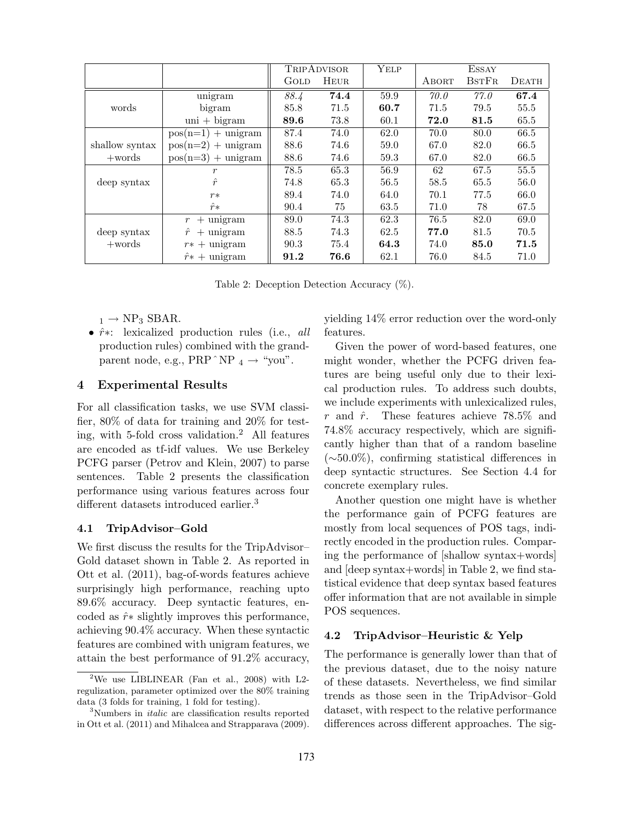|                |                              | <b>TRIPADVISOR</b> |             | YELP | <b>ESSAY</b> |              |          |
|----------------|------------------------------|--------------------|-------------|------|--------------|--------------|----------|
|                |                              | GOLD               | <b>HEUR</b> |      | ABORT        | <b>BSTFR</b> | DEATH    |
|                | unigram                      | 88.4               | 74.4        | 59.9 | 70.0         | 77.0         | 67.4     |
| words          | bigram                       | 85.8               | 71.5        | 60.7 | 71.5         | 79.5         | $55.5\,$ |
|                | $\text{uni} + \text{bigram}$ | 89.6               | 73.8        | 60.1 | 72.0         | 81.5         | 65.5     |
|                | $pos(n=1) + unigram$         | 87.4               | 74.0        | 62.0 | 70.0         | 80.0         | 66.5     |
| shallow syntax | $pos(n=2) + unigram$         | 88.6               | 74.6        | 59.0 | 67.0         | 82.0         | 66.5     |
| $+$ words      | $pos(n=3) + unigram$         | 88.6               | 74.6        | 59.3 | 67.0         | 82.0         | 66.5     |
|                | r                            | 78.5               | 65.3        | 56.9 | 62           | 67.5         | 55.5     |
| deep syntax    | $\hat{r}$                    | 74.8               | 65.3        | 56.5 | 58.5         | 65.5         | 56.0     |
|                | $r*$                         | 89.4               | 74.0        | 64.0 | 70.1         | 77.5         | 66.0     |
|                | $\hat{r}$ *                  | 90.4               | 75          | 63.5 | 71.0         | 78           | 67.5     |
|                | $+$ unigram<br>$r_{\rm}$     | 89.0               | 74.3        | 62.3 | 76.5         | 82.0         | 69.0     |
| deep syntax    | $\hat{r}$<br>$+$ unigram     | 88.5               | 74.3        | 62.5 | 77.0         | 81.5         | 70.5     |
| $+$ words      | $r* +$ unigram               | 90.3               | 75.4        | 64.3 | 74.0         | 85.0         | 71.5     |
|                | $\hat{r}$ + unigram          | 91.2               | 76.6        | 62.1 | 76.0         | 84.5         | 71.0     |

Table 2: Deception Detection Accuracy (%).

 $_1 \rightarrow NP_3$  SBAR.

•  $\hat{r}$ <sup>\*</sup>: lexicalized production rules (i.e., *all* production rules) combined with the grandparent node, e.g.,  $PRP^N P_4 \rightarrow "you".$ 

## 4 Experimental Results

For all classification tasks, we use SVM classifier, 80% of data for training and 20% for testing, with 5-fold cross validation.<sup>2</sup> All features are encoded as tf-idf values. We use Berkeley PCFG parser (Petrov and Klein, 2007) to parse sentences. Table 2 presents the classification performance using various features across four different datasets introduced earlier.<sup>3</sup>

#### 4.1 TripAdvisor–Gold

We first discuss the results for the TripAdvisor– Gold dataset shown in Table 2. As reported in Ott et al. (2011), bag-of-words features achieve surprisingly high performance, reaching upto 89.6% accuracy. Deep syntactic features, encoded as  $\hat{r}$ <sup>\*</sup> slightly improves this performance, achieving 90.4% accuracy. When these syntactic features are combined with unigram features, we attain the best performance of 91.2% accuracy,

yielding 14% error reduction over the word-only features.

Given the power of word-based features, one might wonder, whether the PCFG driven features are being useful only due to their lexical production rules. To address such doubts, we include experiments with unlexicalized rules, r and  $\hat{r}$ . These features achieve 78.5% and 74.8% accuracy respectively, which are significantly higher than that of a random baseline (∼50.0%), confirming statistical differences in deep syntactic structures. See Section 4.4 for concrete exemplary rules.

Another question one might have is whether the performance gain of PCFG features are mostly from local sequences of POS tags, indirectly encoded in the production rules. Comparing the performance of [shallow syntax+words] and [deep syntax+words] in Table 2, we find statistical evidence that deep syntax based features offer information that are not available in simple POS sequences.

#### 4.2 TripAdvisor–Heuristic & Yelp

The performance is generally lower than that of the previous dataset, due to the noisy nature of these datasets. Nevertheless, we find similar trends as those seen in the TripAdvisor–Gold dataset, with respect to the relative performance differences across different approaches. The sig-

<sup>&</sup>lt;sup>2</sup>We use LIBLINEAR (Fan et al., 2008) with L2regulization, parameter optimized over the 80% training data (3 folds for training, 1 fold for testing).

<sup>&</sup>lt;sup>3</sup>Numbers in *italic* are classification results reported in Ott et al. (2011) and Mihalcea and Strapparava (2009).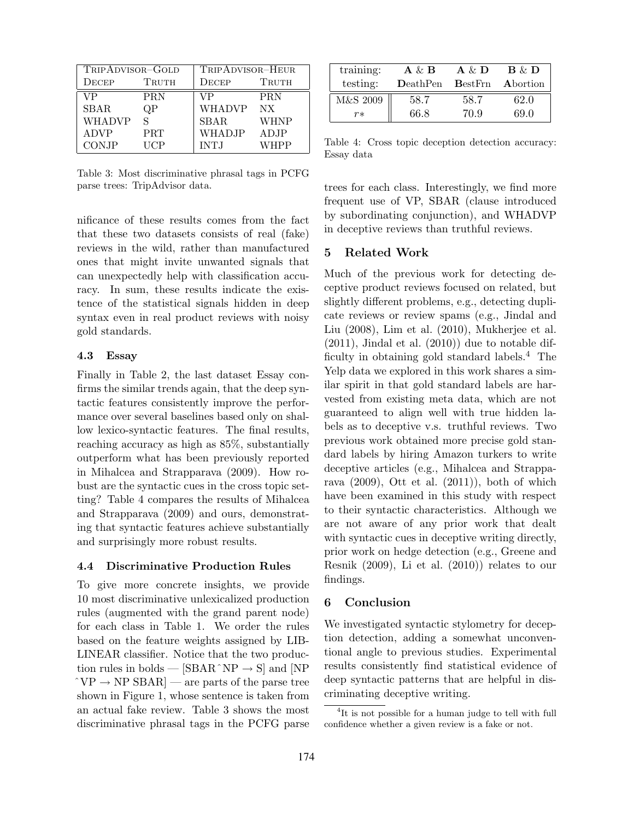| TRIPADVISOR-GOLD |            | TRIPADVISOR-HEUR |                 |  |
|------------------|------------|------------------|-----------------|--|
| $\rm DECEP$      | TRUTH      | DECEP            | TRUTH           |  |
| VР               | PRN        | VР               | <b>PRN</b>      |  |
| <b>SBAR</b>      | ЭΡ         | <b>WHADVP</b>    | NX <sub>1</sub> |  |
| WHADVP           | S          | <b>SBAR</b>      | <b>WHNP</b>     |  |
| ADVP             | <b>PRT</b> | <b>WHADJP</b>    | ADJP            |  |
| CONJP            | HCP        | <b>INTJ</b>      | WHPP            |  |

Table 3: Most discriminative phrasal tags in PCFG parse trees: TripAdvisor data.

nificance of these results comes from the fact that these two datasets consists of real (fake) reviews in the wild, rather than manufactured ones that might invite unwanted signals that can unexpectedly help with classification accuracy. In sum, these results indicate the existence of the statistical signals hidden in deep syntax even in real product reviews with noisy gold standards.

## 4.3 Essay

Finally in Table 2, the last dataset Essay confirms the similar trends again, that the deep syntactic features consistently improve the performance over several baselines based only on shallow lexico-syntactic features. The final results, reaching accuracy as high as 85%, substantially outperform what has been previously reported in Mihalcea and Strapparava (2009). How robust are the syntactic cues in the cross topic setting? Table 4 compares the results of Mihalcea and Strapparava (2009) and ours, demonstrating that syntactic features achieve substantially and surprisingly more robust results.

#### 4.4 Discriminative Production Rules

To give more concrete insights, we provide 10 most discriminative unlexicalized production rules (augmented with the grand parent node) for each class in Table 1. We order the rules based on the feature weights assigned by LIB-LINEAR classifier. Notice that the two production rules in bolds —  $[SBAR^NP \rightarrow S]$  and  $[NP]$  $\hat{\;} VP \rightarrow NP$  SBAR  $\sim$  are parts of the parse tree shown in Figure 1, whose sentence is taken from an actual fake review. Table 3 shows the most discriminative phrasal tags in the PCFG parse

| training:         | $A \& B$ | $A \& D$         | $\mathbf{B} \& \mathbf{D}$ |
|-------------------|----------|------------------|----------------------------|
| testing:          | DeathPen | $\text{BestFrn}$ | Abortion                   |
| ${\rm M\&S}$ 2009 | 58.7     | 58.7             | 62.0                       |
| $r*$              | 66.8     | 70.9             | 69.0                       |

Table 4: Cross topic deception detection accuracy: Essay data

trees for each class. Interestingly, we find more frequent use of VP, SBAR (clause introduced by subordinating conjunction), and WHADVP in deceptive reviews than truthful reviews.

## 5 Related Work

Much of the previous work for detecting deceptive product reviews focused on related, but slightly different problems, e.g., detecting duplicate reviews or review spams (e.g., Jindal and Liu (2008), Lim et al. (2010), Mukherjee et al.  $(2011)$ , Jindal et al.  $(2010)$  due to notable difficulty in obtaining gold standard labels.<sup>4</sup> The Yelp data we explored in this work shares a similar spirit in that gold standard labels are harvested from existing meta data, which are not guaranteed to align well with true hidden labels as to deceptive v.s. truthful reviews. Two previous work obtained more precise gold standard labels by hiring Amazon turkers to write deceptive articles (e.g., Mihalcea and Strapparava (2009), Ott et al. (2011)), both of which have been examined in this study with respect to their syntactic characteristics. Although we are not aware of any prior work that dealt with syntactic cues in deceptive writing directly, prior work on hedge detection (e.g., Greene and Resnik (2009), Li et al. (2010)) relates to our findings.

## 6 Conclusion

We investigated syntactic stylometry for deception detection, adding a somewhat unconventional angle to previous studies. Experimental results consistently find statistical evidence of deep syntactic patterns that are helpful in discriminating deceptive writing.

<sup>&</sup>lt;sup>4</sup>It is not possible for a human judge to tell with full confidence whether a given review is a fake or not.